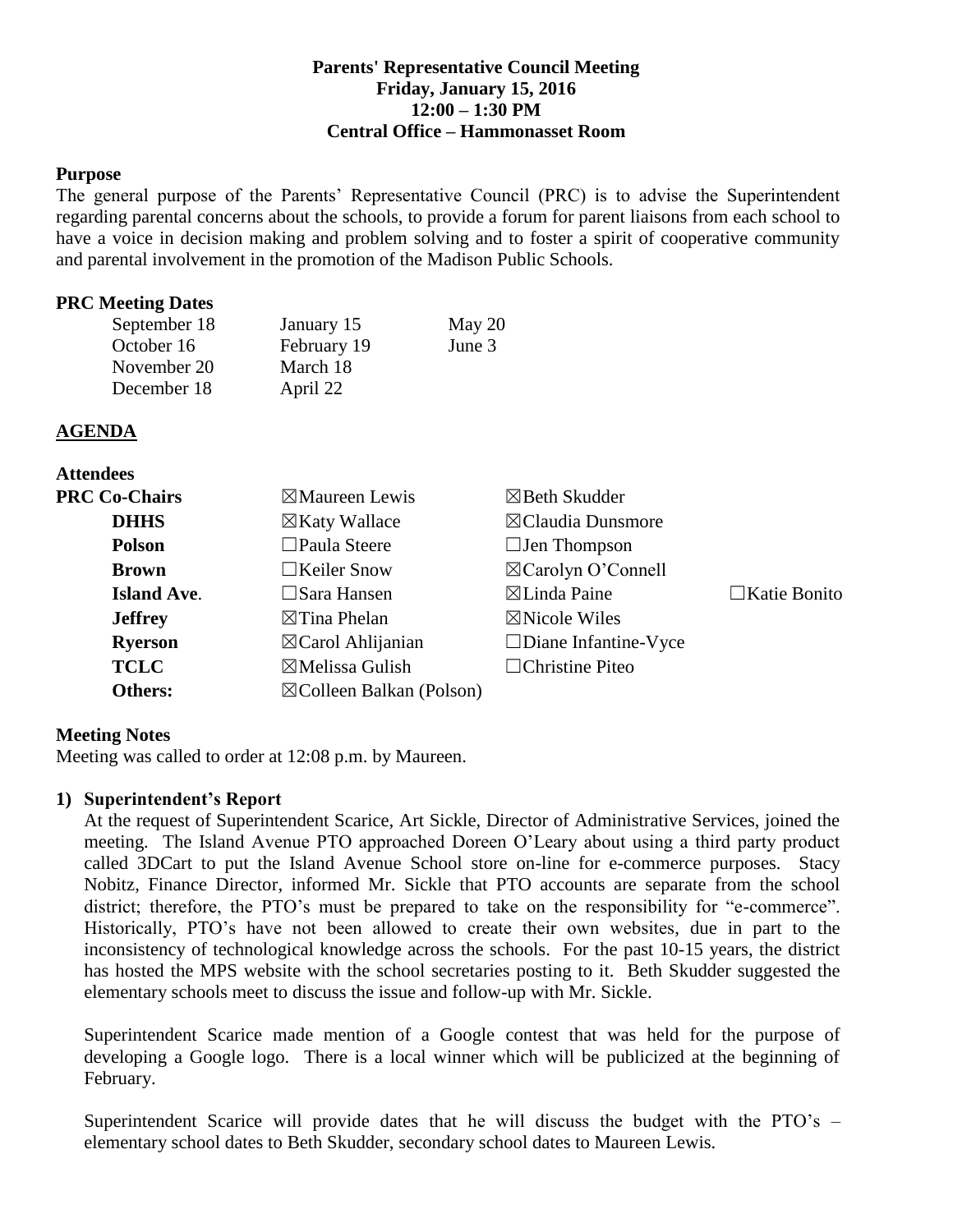#### **Parents' Representative Council Meeting Friday, January 15, 2016 12:00 – 1:30 PM Central Office – Hammonasset Room**

#### **Purpose**

The general purpose of the Parents' Representative Council (PRC) is to advise the Superintendent regarding parental concerns about the schools, to provide a forum for parent liaisons from each school to have a voice in decision making and problem solving and to foster a spirit of cooperative community and parental involvement in the promotion of the Madison Public Schools.

#### **PRC Meeting Dates**

| September 18 | January 15  | May $20$ |
|--------------|-------------|----------|
| October 16   | February 19 | June 3   |
| November 20  | March 18    |          |
| December 18  | April 22    |          |

#### **AGENDA**

**Attendees**

| личнись              |                                     |                               |                     |
|----------------------|-------------------------------------|-------------------------------|---------------------|
| <b>PRC Co-Chairs</b> | $\boxtimes$ Maureen Lewis           | $\boxtimes$ Beth Skudder      |                     |
| <b>DHHS</b>          | $\boxtimes$ Katy Wallace            | $\boxtimes$ Claudia Dunsmore  |                     |
| <b>Polson</b>        | $\Box$ Paula Steere                 | $\Box$ Jen Thompson           |                     |
| <b>Brown</b>         | $\Box$ Keiler Snow                  | $\boxtimes$ Carolyn O'Connell |                     |
| <b>Island Ave.</b>   | $\Box$ Sara Hansen                  | $\boxtimes$ Linda Paine       | $\Box$ Katie Bonito |
| <b>Jeffrey</b>       | $\boxtimes$ Tina Phelan             | $\boxtimes$ Nicole Wiles      |                     |
| <b>Ryerson</b>       | $\boxtimes$ Carol Ahlijanian        | $\Box$ Diane Infantine-Vyce   |                     |
| <b>TCLC</b>          | $\boxtimes$ Melissa Gulish          | $\Box$ Christine Piteo        |                     |
| Others:              | $\boxtimes$ Colleen Balkan (Polson) |                               |                     |

#### **Meeting Notes**

Meeting was called to order at 12:08 p.m. by Maureen.

#### **1) Superintendent's Report**

At the request of Superintendent Scarice, Art Sickle, Director of Administrative Services, joined the meeting. The Island Avenue PTO approached Doreen O'Leary about using a third party product called 3DCart to put the Island Avenue School store on-line for e-commerce purposes. Stacy Nobitz, Finance Director, informed Mr. Sickle that PTO accounts are separate from the school district; therefore, the PTO's must be prepared to take on the responsibility for "e-commerce". Historically, PTO's have not been allowed to create their own websites, due in part to the inconsistency of technological knowledge across the schools. For the past 10-15 years, the district has hosted the MPS website with the school secretaries posting to it. Beth Skudder suggested the elementary schools meet to discuss the issue and follow-up with Mr. Sickle.

Superintendent Scarice made mention of a Google contest that was held for the purpose of developing a Google logo. There is a local winner which will be publicized at the beginning of February.

Superintendent Scarice will provide dates that he will discuss the budget with the PTO's – elementary school dates to Beth Skudder, secondary school dates to Maureen Lewis.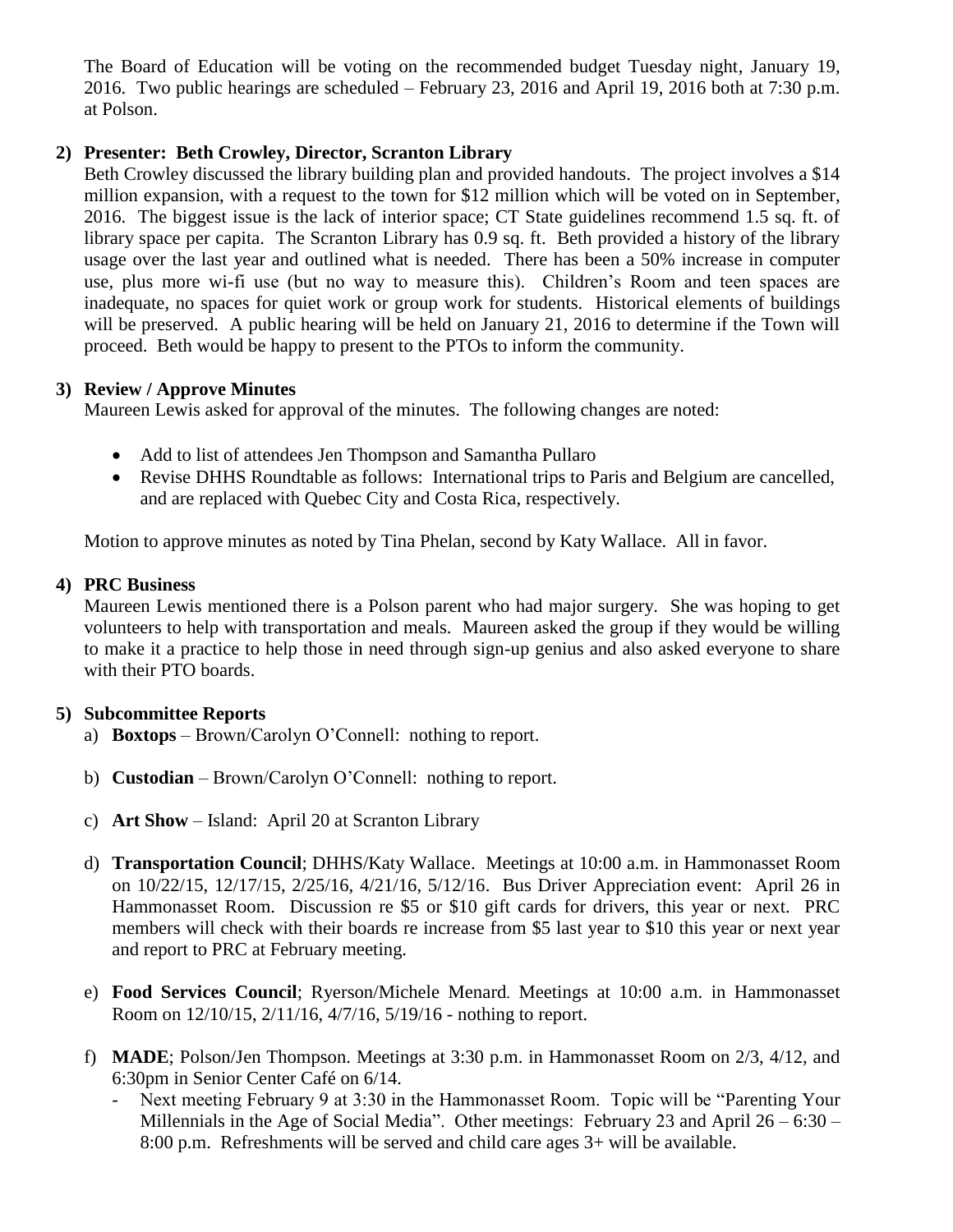The Board of Education will be voting on the recommended budget Tuesday night, January 19, 2016. Two public hearings are scheduled – February 23, 2016 and April 19, 2016 both at 7:30 p.m. at Polson.

# **2) Presenter: Beth Crowley, Director, Scranton Library**

Beth Crowley discussed the library building plan and provided handouts. The project involves a \$14 million expansion, with a request to the town for \$12 million which will be voted on in September, 2016. The biggest issue is the lack of interior space; CT State guidelines recommend 1.5 sq. ft. of library space per capita. The Scranton Library has 0.9 sq. ft. Beth provided a history of the library usage over the last year and outlined what is needed. There has been a 50% increase in computer use, plus more wi-fi use (but no way to measure this). Children's Room and teen spaces are inadequate, no spaces for quiet work or group work for students. Historical elements of buildings will be preserved. A public hearing will be held on January 21, 2016 to determine if the Town will proceed. Beth would be happy to present to the PTOs to inform the community.

# **3) Review / Approve Minutes**

Maureen Lewis asked for approval of the minutes. The following changes are noted:

- Add to list of attendees Jen Thompson and Samantha Pullaro
- Revise DHHS Roundtable as follows: International trips to Paris and Belgium are cancelled, and are replaced with Quebec City and Costa Rica, respectively.

Motion to approve minutes as noted by Tina Phelan, second by Katy Wallace. All in favor.

# **4) PRC Business**

Maureen Lewis mentioned there is a Polson parent who had major surgery. She was hoping to get volunteers to help with transportation and meals. Maureen asked the group if they would be willing to make it a practice to help those in need through sign-up genius and also asked everyone to share with their PTO boards.

# **5) Subcommittee Reports**

- a) **Boxtops** Brown/Carolyn O'Connell: nothing to report.
- b) **Custodian** Brown/Carolyn O'Connell: nothing to report.
- c) **Art Show** Island: April 20 at Scranton Library
- d) **Transportation Council**; DHHS/Katy Wallace. Meetings at 10:00 a.m. in Hammonasset Room on 10/22/15, 12/17/15, 2/25/16, 4/21/16, 5/12/16. Bus Driver Appreciation event: April 26 in Hammonasset Room. Discussion re \$5 or \$10 gift cards for drivers, this year or next. PRC members will check with their boards re increase from \$5 last year to \$10 this year or next year and report to PRC at February meeting.
- e) **Food Services Council**; Ryerson/Michele Menard. Meetings at 10:00 a.m. in Hammonasset Room on 12/10/15, 2/11/16, 4/7/16, 5/19/16 - nothing to report.
- f) **MADE**; Polson/Jen Thompson. Meetings at 3:30 p.m. in Hammonasset Room on 2/3, 4/12, and 6:30pm in Senior Center Café on 6/14.
	- Next meeting February 9 at 3:30 in the Hammonasset Room. Topic will be "Parenting Your Millennials in the Age of Social Media". Other meetings: February 23 and April 26 – 6:30 – 8:00 p.m. Refreshments will be served and child care ages 3+ will be available.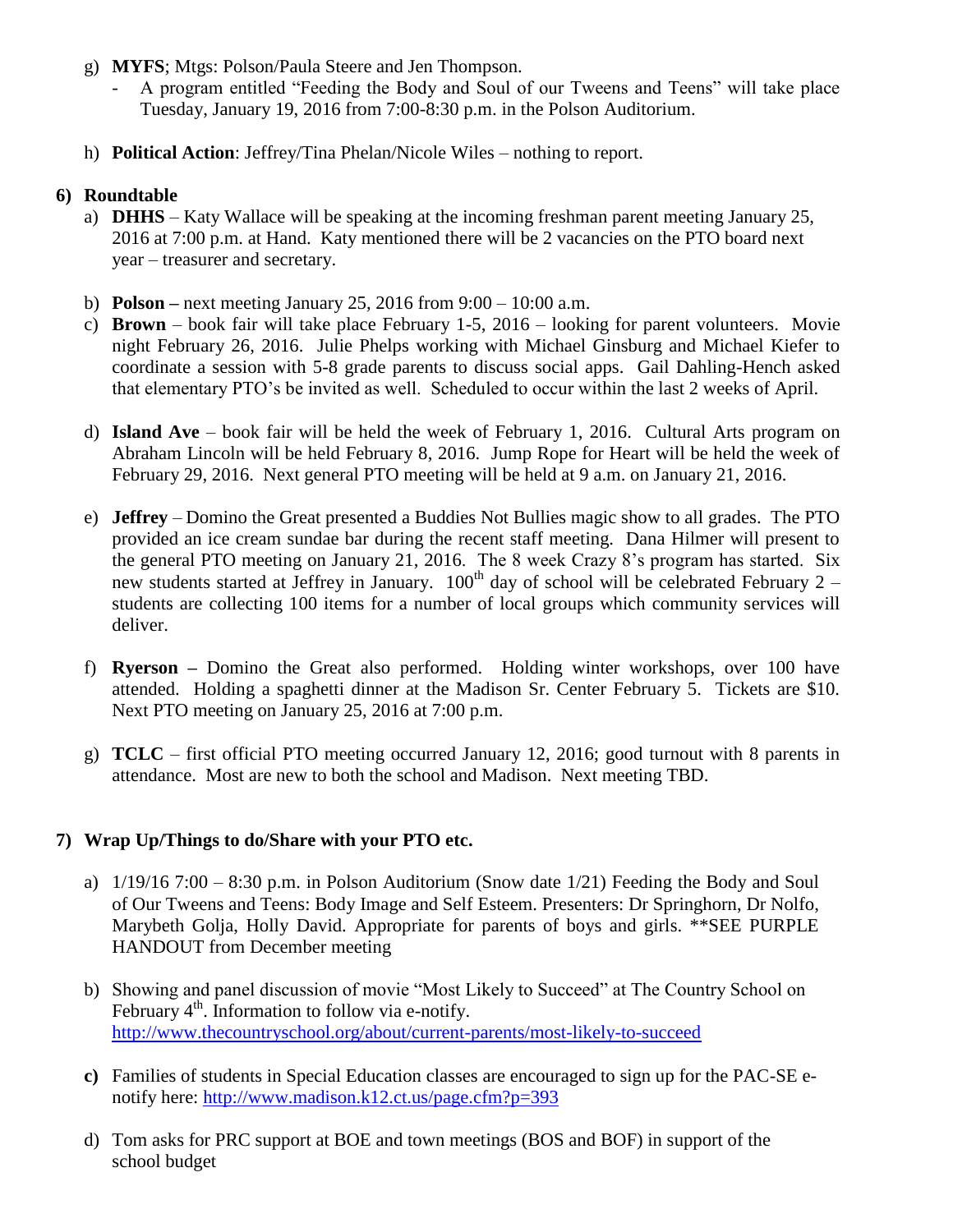- g) **MYFS**; Mtgs: Polson/Paula Steere and Jen Thompson.
	- A program entitled "Feeding the Body and Soul of our Tweens and Teens" will take place Tuesday, January 19, 2016 from 7:00-8:30 p.m. in the Polson Auditorium.
- h) **Political Action**: Jeffrey/Tina Phelan/Nicole Wiles nothing to report.

#### **6) Roundtable**

- a) **DHHS** Katy Wallace will be speaking at the incoming freshman parent meeting January 25, 2016 at 7:00 p.m. at Hand. Katy mentioned there will be 2 vacancies on the PTO board next year – treasurer and secretary.
- b) **Polson –** next meeting January 25, 2016 from 9:00 10:00 a.m.
- c) **Brown** book fair will take place February 1-5, 2016 looking for parent volunteers. Movie night February 26, 2016. Julie Phelps working with Michael Ginsburg and Michael Kiefer to coordinate a session with 5-8 grade parents to discuss social apps. Gail Dahling-Hench asked that elementary PTO's be invited as well. Scheduled to occur within the last 2 weeks of April.
- d) **Island Ave**  book fair will be held the week of February 1, 2016. Cultural Arts program on Abraham Lincoln will be held February 8, 2016. Jump Rope for Heart will be held the week of February 29, 2016. Next general PTO meeting will be held at 9 a.m. on January 21, 2016.
- e) **Jeffrey** Domino the Great presented a Buddies Not Bullies magic show to all grades. The PTO provided an ice cream sundae bar during the recent staff meeting. Dana Hilmer will present to the general PTO meeting on January 21, 2016. The 8 week Crazy 8's program has started. Six new students started at Jeffrey in January.  $100<sup>th</sup>$  day of school will be celebrated February 2 – students are collecting 100 items for a number of local groups which community services will deliver.
- f) **Ryerson –** Domino the Great also performed. Holding winter workshops, over 100 have attended. Holding a spaghetti dinner at the Madison Sr. Center February 5. Tickets are \$10. Next PTO meeting on January 25, 2016 at 7:00 p.m.
- g) **TCLC**  first official PTO meeting occurred January 12, 2016; good turnout with 8 parents in attendance. Most are new to both the school and Madison. Next meeting TBD.

# **7) Wrap Up/Things to do/Share with your PTO etc.**

- a) 1/19/16 7:00 8:30 p.m. in Polson Auditorium (Snow date 1/21) Feeding the Body and Soul of Our Tweens and Teens: Body Image and Self Esteem. Presenters: Dr Springhorn, Dr Nolfo, Marybeth Golja, Holly David. Appropriate for parents of boys and girls. \*\*SEE PURPLE HANDOUT from December meeting
- b) Showing and panel discussion of movie "Most Likely to Succeed" at The Country School on February 4<sup>th</sup>. Information to follow via e-notify. <http://www.thecountryschool.org/about/current-parents/most-likely-to-succeed>
- **c)** Families of students in Special Education classes are encouraged to sign up for the PAC-SE enotify here:<http://www.madison.k12.ct.us/page.cfm?p=393>
- d) Tom asks for PRC support at BOE and town meetings (BOS and BOF) in support of the school budget